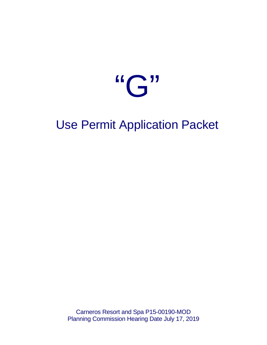

# Use Permit Application Packet

Carneros Resort and Spa P15-00190-MOD Planning Commission Hearing Date July 17, 2019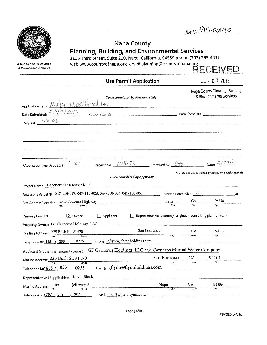|                                                                                                                             |         |                                  |                                                                                                                                                                                                                       |                           |                    | $fileN9}$ $P15-00190$                                      |  |
|-----------------------------------------------------------------------------------------------------------------------------|---------|----------------------------------|-----------------------------------------------------------------------------------------------------------------------------------------------------------------------------------------------------------------------|---------------------------|--------------------|------------------------------------------------------------|--|
| A Tradition of Stewardship<br>A Commitment to Service                                                                       |         |                                  | <b>Napa County</b><br><b>Planning, Building, and Environmental Services</b><br>1195 Third Street, Suite 210, Napa, California, 94559 phone (707) 253-4417<br>web www.countyofnapa.org email planning@countyofnapa.org |                           |                    | RECEIVED                                                   |  |
|                                                                                                                             |         |                                  | <b>Use Permit Application</b>                                                                                                                                                                                         |                           |                    | JUN 0 1 2018                                               |  |
| Fooe completed by Planning stagf<br>Application Type: M & JOF M Od if C at 15h<br>Date Submitted: 6/29/2015 Resubmittal(s): |         |                                  | To be completed by Planning staff                                                                                                                                                                                     |                           |                    | Napa County Planning, Building<br>& Environmental Services |  |
|                                                                                                                             |         |                                  |                                                                                                                                                                                                                       |                           |                    |                                                            |  |
|                                                                                                                             |         |                                  |                                                                                                                                                                                                                       |                           |                    |                                                            |  |
| *Application Fee Deposit: \$ 5000 - Receipt No. $108/75$ Received by: $6$ Date: $5/29/15$                                   |         |                                  |                                                                                                                                                                                                                       |                           |                    |                                                            |  |
|                                                                                                                             |         |                                  | To be completed by applicant                                                                                                                                                                                          |                           |                    | *Total Fees will be based on actual time and materials     |  |
| Project Name: Careneros Inn Major Mod<br>Assessor's Parcel Nº: 047-110-027, 047-110-028, 047-110-003, 047-100-062           |         |                                  |                                                                                                                                                                                                                       |                           |                    | Existing Parcel Size: 27.77 acc.                           |  |
| Site Address/Location: $\frac{4048 \text{ Sonoma Highway}}{N_0}$                                                            |         |                                  |                                                                                                                                                                                                                       | $Napa$ CA<br>$City$ State |                    | 94558<br>Zio                                               |  |
| <b>Primary Contact:</b>                                                                                                     | X Owner | $\Box$ Applicant                 | Representative (attorney, engineer, consulting planner, etc.)                                                                                                                                                         |                           |                    |                                                            |  |
| Property Owner: GF Carneros Holdings, LLC                                                                                   |         |                                  | San Francisco                                                                                                                                                                                                         |                           | CA                 | 94104                                                      |  |
| Mailing Address: 225 Bush St., #1470                                                                                        | Street  |                                  |                                                                                                                                                                                                                       | City                      | <b>State</b>       | Zip                                                        |  |
| Telephone $No(415) 835$ -                                                                                                   | 0225    | E-Mail: gflynn@flynnholdings.com |                                                                                                                                                                                                                       |                           |                    |                                                            |  |
| Applicant (if other than property owner):                                                                                   |         |                                  | GF Carneros Holdings, LLC and Carneros Mutual Water Company                                                                                                                                                           |                           |                    |                                                            |  |
| Mailing Address: 225 Bush St. #1470<br>No.                                                                                  | Street  |                                  |                                                                                                                                                                                                                       | San Francisco<br>City     | CA<br><b>State</b> | 94104<br>Zip                                               |  |
|                                                                                                                             |         |                                  |                                                                                                                                                                                                                       |                           |                    |                                                            |  |

| Telephone Nº( $\overline{415}$ ) $\_$ | 835<br>0225                                                                         |         | E-Mail: gflynn@flynnholdings.com |      |       |       |  |
|---------------------------------------|-------------------------------------------------------------------------------------|---------|----------------------------------|------|-------|-------|--|
|                                       | Representative (if applicable): $\underline{\quad}$ Kevin Block $\underline{\quad}$ |         |                                  |      |       |       |  |
| Mailing Address:__ <sup>1109</sup> _  | Jefferson St.                                                                       |         |                                  | Napa | СA    | 94559 |  |
|                                       | Street                                                                              |         |                                  | City | State | Zip   |  |
| Telephone №( <i>7</i> 07              | 9871<br>) 251                                                                       | E-Mail: | kb@winelawyers.com               |      |       |       |  |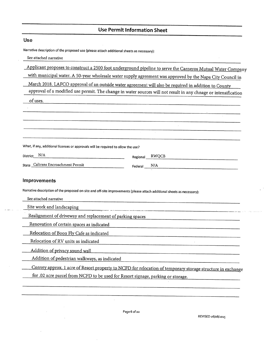# **Use Permit Information Sheet**

 $\sim$ 

 $\label{eq:reduced} \begin{split} \mathcal{L}_{\text{c}}(\mathcal{L}_{\text{c}}(\mathbf{r},\mathbf{r})) = \mathcal{L}_{\text{c}}(\mathcal{L}_{\text{c}}(\mathbf{r},\mathbf{r})) \end{split}$ 

 $\sim 10$ 

 $\sim 10^{-10}$ 

 $\hat{\boldsymbol{\epsilon}}$ 

 $\sim 10$ 

| <b>Use</b>                                                                                                              |                                                                                                                     |
|-------------------------------------------------------------------------------------------------------------------------|---------------------------------------------------------------------------------------------------------------------|
| Narrative description of the proposed use (please attach additional sheets as necessary):                               |                                                                                                                     |
| See attached narrative                                                                                                  |                                                                                                                     |
|                                                                                                                         | Applicant proposes to construct a 2500 foot underground pipeline to serve the Carneros Mutual Water Company         |
|                                                                                                                         | with municipal water. A 50-year wholesale water supply agreement was approved by the Napa City Council in           |
|                                                                                                                         | March 2018. LAFCO approval of an outside water agreement will also be required in addition to County                |
|                                                                                                                         | approval of a modified use permit. The change in water sources will not result in any chnage or intensification     |
| of uses.                                                                                                                |                                                                                                                     |
|                                                                                                                         |                                                                                                                     |
|                                                                                                                         |                                                                                                                     |
|                                                                                                                         |                                                                                                                     |
|                                                                                                                         |                                                                                                                     |
| What, if any, additional licenses or approvals will be required to allow the use?                                       |                                                                                                                     |
| District N/A                                                                                                            | Regional RWQCB                                                                                                      |
| State Caltrans Encroachment Permit                                                                                      | N/A<br>Federal                                                                                                      |
|                                                                                                                         |                                                                                                                     |
| <b>Improvements</b>                                                                                                     |                                                                                                                     |
| Narrative description of the proposed on-site and off-site improvements (please attach additional sheets as necessary): |                                                                                                                     |
| See attached narrative                                                                                                  |                                                                                                                     |
| Site work and landscaping                                                                                               | .<br>Prima di Maria del Partido de la Paragone del Maria del Maria del Paragone del Maria del Maria del Maria del M |
| Realignment of driveway and replacement of parking spaces                                                               |                                                                                                                     |
| Renovation of certain spaces as indicated                                                                               |                                                                                                                     |
| Relocation of Boon Fly Cafe as indicated                                                                                |                                                                                                                     |
| Relocation of RV units as indicated                                                                                     |                                                                                                                     |
| Addition of privacy sound wall                                                                                          |                                                                                                                     |
| Addition of pedestrian walkways, as indicated                                                                           |                                                                                                                     |
|                                                                                                                         | Convey approx. 1 acre of Resort property to NCFD for relocation of temporary storage structure in exchange          |
| for .02 acre parcel from NCFD to be used for Resort signage, parking or storage.                                        |                                                                                                                     |
|                                                                                                                         |                                                                                                                     |

 $\langle \cdot \rangle$ 

 $\infty$  $\hat{\phantom{a}}$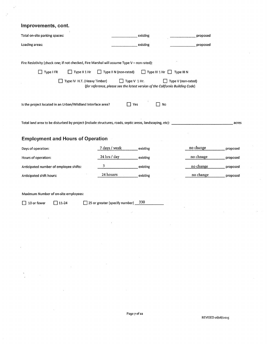# Improvements, cont.

 $\bar{\psi}$ 

| Total on-site parking spaces:                                                                             | existing                                                                                       | proposed                               |
|-----------------------------------------------------------------------------------------------------------|------------------------------------------------------------------------------------------------|----------------------------------------|
| Loading areas:                                                                                            | existing                                                                                       | proposed                               |
|                                                                                                           |                                                                                                |                                        |
| Fire Resistivity (check one; if not checked, Fire Marshal will assume Type V - non rated):                |                                                                                                |                                        |
| $\Box$ Type II 1 Hr<br>$\Box$ Type I FR                                                                   | $\Box$ Type II N (non-rated)                                                                   | $\Box$ Type III 1 Hr $\Box$ Type III N |
| Type IV H.T. (Heavy Timber)                                                                               | Type V 1 Hr.<br>(for reference, please see the latest version of the California Building Code) | Type V (non-rated)                     |
| Is the project located in an Urban/Wildland Interface area?                                               | Yes                                                                                            | No                                     |
| Total land area to be disturbed by project (include structures, roads, septic areas, landscaping, etc): _ |                                                                                                | acres                                  |
| <b>Employment and Hours of Operation</b>                                                                  |                                                                                                |                                        |
| Days of operation:                                                                                        | 7 days / week<br>existing                                                                      | no change<br>proposed                  |
| Hours of operation:                                                                                       | 24 hrs / day<br>existing                                                                       | no chnage<br>proposed                  |
| Anticipated number of employee shifts:                                                                    | 3<br>existing                                                                                  | no change<br>proposed                  |
| Anticipated shift hours:                                                                                  | 24 housrs<br>existing                                                                          | no change<br>proposed                  |
|                                                                                                           |                                                                                                |                                        |
| Maximum Number of on-site employees:                                                                      |                                                                                                |                                        |
| 10 or fewer<br>$\Box$ 11-24                                                                               | 330<br>25 or greater (specify number) _                                                        |                                        |
|                                                                                                           |                                                                                                |                                        |
|                                                                                                           |                                                                                                |                                        |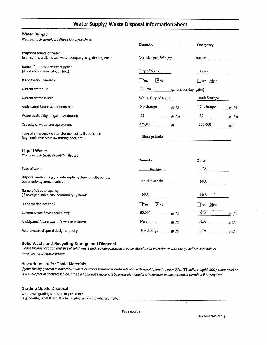# Water Supply/ Waste Disposal Information Sheet

#### **Water Supply**

Please attach completed Phase I Analysis sheet.

|                                                                                                         | <b>Domestic</b>           | <b>Emergency</b>          |
|---------------------------------------------------------------------------------------------------------|---------------------------|---------------------------|
| Proposed source of water<br>(e.g., spring, well, mutual water company, city, district, etc.):           | Municipal Water           | same                      |
| Name of proposed water supplier<br>(if water company, city, district):                                  | City of Napa              | Same                      |
| Is annexation needed?                                                                                   | DĂNo<br>$\Box$ Yes        | $\Box$ Yes $\Box$ No      |
| Current water use:                                                                                      | 36,590                    | gallons per day (gal/d)   |
| Current water source:                                                                                   | Wells, City of Napa       | tank Storage              |
| Anticipated future water demand:                                                                        | No change<br>gal/d        | No change<br>gal/d        |
| Water availability (in gallons/minute):                                                                 | 32<br>_gal/m              | 32<br>gal/m               |
| Capacity of water storage system:                                                                       | 325,000<br>gal            | 325,000<br>gal            |
| Type of emergency water storage facility if applicable<br>(e.g., tank, reservoir, swimming pool, etc.): | Storage tanks             |                           |
| <b>Liquid Waste</b><br>Please attach Septic Feasibility Report                                          | <b>Domestic</b>           | Other                     |
| Type of waste:                                                                                          | sewage                    | N/A                       |
| Disposal method (e.g., on-site septic system, on-site ponds,<br>community system, district, etc.):      | on-site septic            | N/A                       |
| Name of disposal agency<br>(if sewage district, city, community system):                                | N/A                       | N/A                       |
| Is annexation needed?                                                                                   | <b>X</b> No<br>$\Box$ Yes | <b>X</b> No<br><b>Nes</b> |
| Current waste flows (peak flow):                                                                        | 50,000<br>_gal/d          | N/A<br>gal/d              |
| Anticipated future waste flows (peak flow):                                                             | No change<br>gal/d        | N/A<br>gal/d              |
| Future waste disposal design capacity:                                                                  | No change<br>.gal/d       | N/A<br>gal/d              |

#### Solid Waste and Recycling Storage and Disposal

Please include location and size of solid waste and recycling storage area on site plans in accordance with the guidelines available at www.countyofnapa.org/dem.

#### **Hazardous and/or Toxic Materials**

If your facility generates hazardous waste or stores hazardous materials above threshold planning quantities (55 gallons liquid, 500 pounds solid or 200 cubic feet of compressed gas) then a hazardous materials business plan and/or a hazardous waste generator permit will be required.

#### **Grading Spoils Disposal**

Where will grading spoils be disposed of? (e.g. on-site, landfill, etc. If off-site, please indicate where off-site):

 $\bar{z}$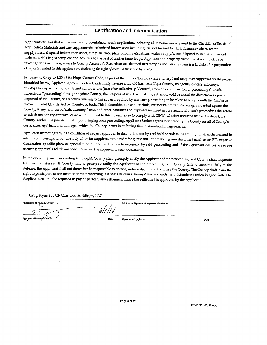## **Certification and Indemnification**

Applicant certifies that all the information contained in this application, including all information required in the Checklist of Required Application Materials and any supplemental submitted information including, but not limited to, the information sheet, water supply/waste disposal information sheet, site plan, floor plan, building elevations, water supply/waste disposal system site plan and toxic materials list, is complete and accurate to the best of his/her knowledge. Applicant and property owner hereby authorize such investigations including access to County Assessor's Records as are deemed necessary by the County Planning Division for preparation of reports related to this application, including the right of access to the property involved.

Pursuant to Chapter 1.30 of the Napa County Code, as part of the application for a discretionary land use project approval for the project identified below, Applicant agrees to defend, indemnify, release and hold harmless Napa County, its agents, officers, attorneys, employees, departments, boards and commissions (hereafter collectively "County") from any claim, action or proceeding (hereafter collectively "proceeding") brought against County, the purpose of which is to attack, set aside, void or annul the discretionary project approval of the County, or an action relating to this project required by any such proceeding to be taken to comply with the California Environmental Quality Act by County, or both. This indemnification shall include, but not be limited to damages awarded against the County, if any, and cost of suit, attorneys' fees, and other liabilities and expenses incurred in connection with such proceeding that relate to this discretionary approval or an action related to this project taken to comply with CEQA whether incurred by the Applicant, the County, and/or the parties initiating or bringing such proceeding. Applicant further agrees to indemnify the County for all of County's costs, attomeys' fees, and damages, which the County incurs in enforcing this indemnification agreement.

Applicant further agrees, as a condition of project approval, to defend, indemnify and hold harmless the County for all costs incurred in additional investigation of or study of, or for supplementing, redrafting, revising, or amending any document (such as an EIR, negative declaration, specific plan, or general plan amendment) if made necessary by said proceeding and if the Applicant desires to pursue securing approvals which are conditioned on the approval of such documents.

In the event any such proceeding is brought, County shall promptly notify the Applicant of the proceeding, and County shall cooperate fully in the defense. If County fails to promptly notify the Applicant of the proceeding, or if County fails to cooperate fully in the defense, the Applicant shall not thereafter be responsible to defend, indemnify, or hold harmless the County. The County shall retain the right to participate in the defense of the proceeding if it bears its own attorneys' fees and costs, and defends the action in good faith. The Applicant shall not be required to pay or perform any settlement unless the settlement is approved by the Applicant.

Greg Flynn for GF Carneros Holdings, LLC

**Print Name of Pruperty Owner** Print Name Signature of Applicant (if different) Signa, fre of Propert Signature of Applicant Date

REVISED 06/08/2015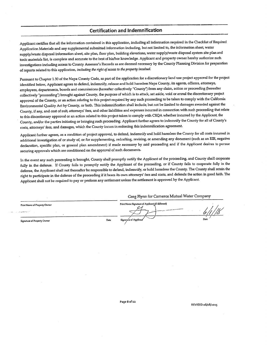#### **Certification and Indemnification**

Applicant certifies that all the information contained in this application, including all information required in the Checklist of Required Application Materials and any supplemental submitted information including, but not limited to, the information sheet, water supply/waste disposal information sheet, site plan, floor plan, building elevations, water supply/waste disposal system site plan and toxic materials list, is complete and accurate to the best of his/her knowledge. Applicant and property owner hereby authorize such investigations including access to County Assessor's Records as are deemed necessary by the County Planning Division for preparation of reports related to this application, including the right of access to the property involved.

Pursuant to Chapter 1.30 of the Napa County Code, as part of the application for a discretionary land use project approval for the project identified below, Applicant agrees to defend, indemnify, release and hold harmless Napa County, its agents, officers, attorneys, employees, departments, boards and commissions (hereafter collectively "County") from any claim, action or proceeding (hereafter collectively "proceeding") brought against County, the purpose of which is to attack, set aside, void or annul the discretionary project approval of the County, or an action relating to this project required by any such proceeding to be taken to comply with the California Environmental Quality Act by County, or both. This indemnification shall include, but not be limited to damages awarded against the County, if any, and cost of suit, attorneys' fees, and other liabilities and expenses incurred in connection with such proceeding that relate to this discretionary approval or an action related to this project taken to comply with CEQA whether incurred by the Applicant, the County, and/or the parties initiating or bringing such proceeding. Applicant further agrees to indemnify the County for all of County's costs, attorneys' fees, and damages, which the County incurs in enforcing this indemnification agreement.

Applicant further agrees, as a condition of project approval, to defend, indemnify and hold harmless the County for all costs incurred in additional investigation of or study of, or for supplementing, redrafting, revising, or amending any document (such as an EIR, negative declaration, specific plan, or general plan amendment) if made necessary by said proceeding and if the Applicant desires to pursue securing approvals which are conditioned on the approval of such documents.

In the event any such proceeding is brought, County shall promptly notify the Applicant of the proceeding, and County shall cooperate fully in the defense. If County fails to promptly notify the Applicant of the proceeding, or if County fails to cooperate fully in the defense, the Applicant shall not thereafter be responsible to defend, indemnify, or hold harmless the County. The County shall retain the right to participate in the defense of the proceeding if it bears its own attorneys' fees and costs, and defends the action in good faith. The Applicant shall not be required to pay or perform any settlement unless the settlement is approved by the Applicant.

Greg Flynn for Carneros Mutual Water Company

Print Name Signature of Applicant (if different) Date Signal we of App

Signature of Property Owner

Print Name of Property Owner

Page 8 of 22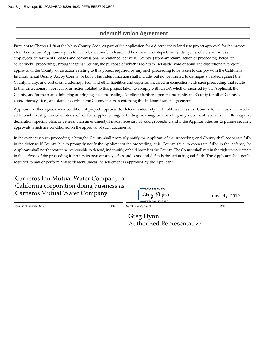# **Indemnification Agreement**

Pursuant to Chapter 1.30 of the Napa County Code, as part of the application for a discretionary land use project approval for the project identified below, Applicant agrees to defend, indemnify, release and hold harmless Napa County, its agents, officers, attorneys, employees, departments, boards and commissions (hereafter collectively "County") from any claim, action or proceeding (hereafter collectively "proceeding") brought against County, the purpose of which is to attack, set aside, void or annul the discretionary project approval of the County, or an action relating to this project required by any such proceeding to be taken to comply with the California Environmental Quality Act by County, or both. This indemnification shall include, but not be limited to damages awarded against the County, if any, and cost of suit, attorneys' fees, and other liabilities and expenses incurred in connection with such proceeding that relate to this discretionary approval or an action related to this project taken to comply with CEQA whether incurred by the Applicant, the County, and/or the parties initiating or bringing such proceeding. Applicant further agrees to indemnify the County for all of County's costs, attorneys' fees, and damages, which the County incurs in enforcing this indemnification agreement.

Applicant further agrees, as a condition of project approval, to defend, indemnify and hold harmless the County for all costs incurred in additional investigation of or study of, or for supplementing, redrafting, revising, or amending any document (such as an EIR, negative declaration, specific plan, or general plan amendment) if made necessary by said proceeding and if the Applicant desires to pursue securing approvals which are conditioned on the approval of such documents.

In the event any such proceeding is brought, County shall promptly notify the Applicant of the proceeding, and County shall cooperate fully in the defense. If County fails to promptly notify the Applicant of the proceeding, or if County fails to cooperate fully in the defense, the Applicant shall not thereafter be responsible to defend, indemnify, or hold harmless the County. The County shall retain the right to participate in the defense of the proceeding if it bears its own attorneys' fees and costs, and defends the action in good faith. The Applicant shall not be required to pay or perform any settlement unless the settlement is approved by the Applicant.

| Carneros Inn Mutual Water Company, a     |
|------------------------------------------|
| California corporation doing business as |
| <b>Carneros Mutual Water Company</b>     |

Signature of PropertyOwner Date Signature of Applicant Date

Greg Flynn Authorized Representative

DocuSigned by Greg Flynn

June 4, 2019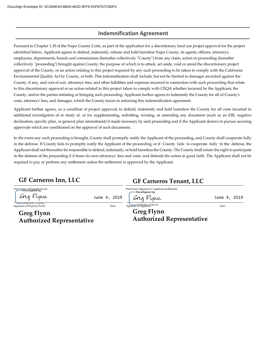# **Indemnification Agreement**

Pursuant to Chapter 1.30 of the Napa County Code, as part of the application for a discretionary land use project approval for the project identified below, Applicant agrees to defend, indemnify, release and hold harmless Napa County, its agents, officers, attorneys, employees, departments, boards and commissions (hereafter collectively "County") from any claim, action or proceeding (hereafter collectively "proceeding") brought against County, the purpose of which is to attack, set aside, void or annul the discretionary project approval of the County, or an action relating to this project required by any such proceeding to be taken to comply with the California Environmental Quality Act by County, or both. This indemnification shall include, but not be limited to damages awarded against the County, if any, and cost of suit, attorneys' fees, and other liabilities and expenses incurred in connection with such proceeding that relate to this discretionary approval or an action related to this project taken to comply with CEQA whether incurred by the Applicant, the County, and/or the parties initiating or bringing such proceeding. Applicant further agrees to indemnify the County for all of County's costs, attorneys' fees, and damages, which the County incurs in enforcing this indemnification agreement.

Applicant further agrees, as a condition of project approval, to defend, indemnify and hold harmless the County for all costs incurred in additional investigation of or study of, or for supplementing, redrafting, revising, or amending any document (such as an EIR, negative declaration, specific plan, or general plan amendment) if made necessary by said proceeding and if the Applicant desires to pursue securing approvals which are conditioned on the approval of such documents.

In the event any such proceeding is brought, County shall promptly notify the Applicant of the proceeding, and County shall cooperate fully in the defense. If County fails to promptly notify the Applicant of the proceeding, or if County fails to cooperate fully in the defense, the Applicant shall not thereafter be responsible to defend, indemnify, or hold harmless the County. The County shall retain the right to participate in the defense of the proceeding if it bears its own attorneys' fees and costs, and defends the action in good faith. The Applicant shall not be required to pay or perform any settlement unless the settlement is approved by the Applicant.

| <b>GF Carneros Inn, LLC</b>                                                                      |                      | <b>GF Carneros Tenant, LLC</b>                                                                                  |                      |
|--------------------------------------------------------------------------------------------------|----------------------|-----------------------------------------------------------------------------------------------------------------|----------------------|
| Print Name of Property Owner<br>Greg Flynn<br>----DF96244C170E497<br>Signature of Property Owner | June 4, 2019<br>Date | Print Name Signature of Applicant (if different)<br>-DocuSigned by:<br>Greg Flynn<br>Signature Of 98341G170E497 | June 4, 2019<br>Date |
| <b>Greg Flynn</b><br><b>Authorized Representative</b>                                            |                      | <b>Greg Flynn</b><br><b>Authorized Representative</b>                                                           |                      |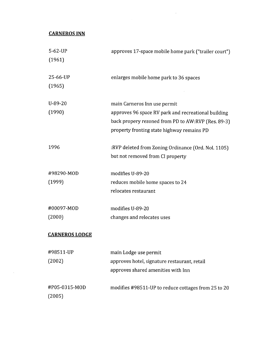# **CARNEROS INN**

 $\mathcal{L}^{\text{max}}_{\text{max}}$  and  $\mathcal{L}^{\text{max}}_{\text{max}}$ 

| 5-62-UP<br>(1961)       | approves 17-space mobile home park ("trailer court")                                                                                      |
|-------------------------|-------------------------------------------------------------------------------------------------------------------------------------------|
| 25-66-UP<br>(1965)      | enlarges mobile home park to 36 spaces                                                                                                    |
| $U-89-20$<br>(1990)     | main Carneros Inn use permit<br>approves 96 space RV park and recreational building<br>back propery rezoned from PD to AW:RVP (Res. 89-3) |
|                         | property fronting state highway remains PD                                                                                                |
| 1996                    | :RVP deleted from Zoning Ordinance (Ord. Nol. 1105)<br>but not removed from CI property                                                   |
| #98290-MOD              | modifies U-89-20                                                                                                                          |
| (1999)                  | reduces mobile home spaces to 24<br>relocates restaurant                                                                                  |
| #00097-MOD              | modifies U-89-20                                                                                                                          |
| (2000)                  | changes and relocates uses                                                                                                                |
| <b>CARNEROS LODGE</b>   |                                                                                                                                           |
| #98511-UP               | main Lodge use permit                                                                                                                     |
| (2002)                  | approves hotel, signature restaurant, retail<br>approves shared amenities with Inn                                                        |
| #P05-0315-MOD<br>(2005) | modifies #98511-UP to reduce cottages from 25 to 20                                                                                       |

 $\sim$   $\sim$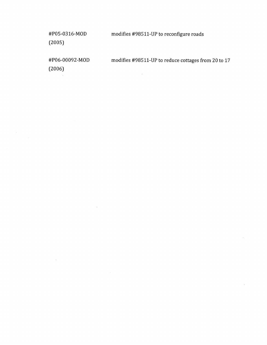#P05-0316-MOD modifies #98511-UP to reconfigure roads  $(2005)$ #P06-00092-MOD modifies #98511-UP to reduce cottages from 20 to 17  $(2006)$  $\lambda$  $\lambda_{\rm c}$ 

 $\bar{z}$ 

 $\bar{\mathcal{A}}$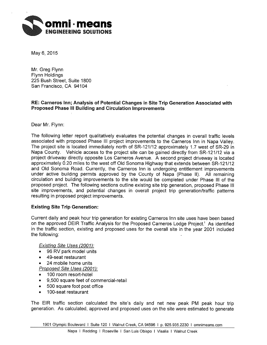

May 6, 2015

Mr. Greg Flynn **Flynn Holdings** 225 Bush Street, Suite 1800 San Francisco, CA 94104

# RE: Carneros Inn; Analysis of Potential Changes in Site Trip Generation Associated with **Proposed Phase III Building and Circulation Improvements**

Dear Mr. Flynn:

The following letter report qualitatively evaluates the potential changes in overall traffic levels associated with proposed Phase III project improvements to the Carneros Inn in Napa Valley. The project site is located immediately north of SR-121/12 approximately 1.7 west of SR-29 in Napa County. Vehicle access to the project site can be gained directly from SR-121/12 via a project driveway directly opposite Los Carneros Avenue. A second project driveway is located approximately 0.20 miles to the west off Old Sonoma Highway that extends between SR-121/12 and Old Sonoma Road. Currently, the Carneros Inn is undergoing entitlement improvements under active building permits approved by the County of Napa (Phase II). All remaining circulation and building improvements to the site would be completed under Phase III of the proposed proiect. The following sections outline existing site trip generation, proposed Phase III site improvements, and potential changes in overall project trip generation/traffic patterns resulting in proposed project improvements.

# **Existing Site Trip Generation:**

Current daily and peak hour trip generation for existing Carneros Inn site uses have been based on the approved DEIR Traffic Analysis for the Proposed Carneros Lodge Project.<sup>1</sup> As identified in the traffic section, existing and proposed uses for the overall site in the year 2001 included the following:

Existing Site Uses (2001):

- 96 RV park model units
- 49-seat restaurant  $\bullet$
- 24 mobile home units  $\bullet$

Proposed Site Uses (2001):

- 100 room resort-hotel  $\bullet$
- 9.500 square feet of commercial-retail
- 500 square foot post office
- 100-seat restaurant  $\bullet$

The EIR traffic section calculated the site's daily and net new peak PM peak hour trip generation. As calculated, approved and proposed uses on the site were estimated to generate

1901 Olympic Boulevard | Suite 120 | Walnut Creek, CA 94596 | p. 925.935.2230 | omnimeans.com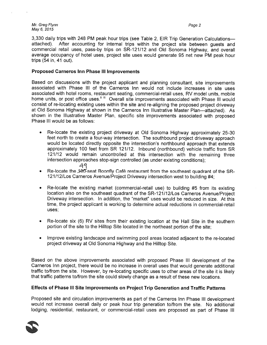#### Mr. Greg Flynn May 6, 2015

3,330 daily trips with 248 PM peak hour trips (see Table 2, EIR Trip Generation Calculations attached). After accounting for internal trips within the project site between quests and commercial retail uses, pass-by trips on SR-121/12 and Old Sonoma Highway, and overall average occupancy of hotel uses, project site uses would generate 95 net new PM peak hour trips (54 in, 41 out).

## **Proposed Carneros Inn Phase III Improvements**

Based on discussions with the project applicant and planning consultant, site improvements associated with Phase III of the Carneros Inn would not include increases in site uses associated with hotel rooms, restaurant seating, commercial-retail uses, RV model units, mobile home units, or post office uses." "" Overall site improvements associated with Phase III would consist of re-locating existing uses within the site and re-aligning the proposed project driveway at Old Sonoma Highway at shown in the Carneros Inn Illustrative Master Plan---attached). As shown in the Illustrative Master Plan, specific site improvements associated with proposed Phase III would be as follows:

- Re-locate the existing project driveway at Old Sonoma Highway approximately 25-30 feet north to create a four-way intersection. The southbound project driveway approach would be located directly opposite the intersection's northbound approach that extends approximately 100 feet from SR 121/12. Inbound (northbound) vehicle traffic from SR 121/12 would remain uncontrolled at this intersection with the remaining three intersection approaches stop-sign controlled (as under existing conditions);
	- 49
- Re-locate the 100-seat Boonfly Café restaurant from the southeast quadrant of the SR-121/12/Los Carneros Avenue/Project Driveway intersection west to building #4;
- Re-locate the existing market (commercial-retail use) to building #5 from its existing  $\bullet$ location also on the southeast quadrant of the SR-121/12/Los Carneros Avenue/Project Driveway intersection. In addition, the "market" uses would be reduced in size. At this time, the project applicant is working to determine actual reductions in commercial-retail uses:
- Re-locate six (6) RV sites from their existing location at the Hall Site in the southern portion of the site to the Hilltop Site located in the northeast portion of the site;
- Improve existing landscape and swimming pool areas located adjacent to the re-located project driveway at Old Sonoma Highway and the Hilltop Site.

Based on the above improvements associated with proposed Phase III development of the Carneros Inn project, there would be no increase in overall uses that would generate additional traffic to/from the site. However, by re-locating specific uses to other areas of the site it is likely that traffic patterns to/from the site could slowly change as a result of these new locations.

# Effects of Phase III Site Improvements on Project Trip Generation and Traffic Patterns

Proposed site and circulation improvements as part of the Carneros Inn Phase III development would not increase overall daily or peak hour trip generation to/from the site. No additional lodging, residential, restaurant, or commercial-retail uses are proposed as part of Phase III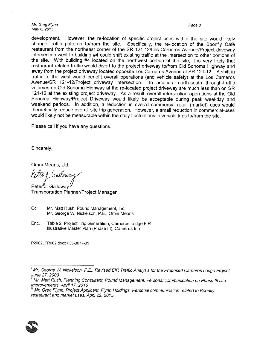Mr. Greg Flynn May 6, 2015

Page 3

development. However, the re-location of specific project uses within the site would likely change traffic patterns to/from the site. Specifically, the re-location of the Boonfly Café restaurant from the northeast corner of the SR 121-12/Los Carneros Avenue/Project driveway intersection west to building #4 could shift existing traffic at the intersection to other portions of the site. With building #4 located on the northwest portion of the site, it is very likely that restaurant-related traffic would divert to the project driveway to/from Old Sonoma Highway and away from the project driveway located opposite Los Carneros Avenue at SR 121-12. A shift in traffic to the west would benefit overall operations (and vehicle safety) at the Los Carneros Avenue/SR 121-12/Project driveway intersection. In addition, north-south through-traffic volumes on Old Sonoma Highway at the re-located project driveway are much less than on SR 121-12 at the existing project driveway. As a result, overall intersection operations at the Old Sonoma Highway/Project Driveway would likely be acceptable during peak weekday and weekend periods. In addition, a reduction in overall commercial-retail (market) uses would theoretically reduce overall site trip generation. However, a small reduction in commercial-uses would likely not be measurable within the daily fluctuations in vehicle trips to/from the site.

Please call if you have any questions.

Sincerely,

Omni-Means, Ltd.

Petro 1 Gulloway

Peter J. Gallowav **Transportation Planner/Project Manager** 

- Cc: Mr. Matt Rush, Pound Management, Inc. Mr. George W. Nickelson, P.E., Omni-Means
- Enc. Table 2, Project Trip Generation, Carneros Lodge EIR Illustrative Master Plan (Phase III), Carneros Inn

P2002LTR002.docx / 35-3077-01



 $^{\prime}$  Mr. George W. Nickelson, P.E., Revised EIR Traffic Analysis for the Proposed Carneros Lodge Project, June 27, 2000

<sup>&</sup>lt;sup>ii</sup> Mr. Matt Rush, Planning Consultant, Pound Management, Personal communication on Phase III site improvements, April 17, 2015.

<sup>&</sup>quot; Mr. Greg Flynn, Project Applicant, Flynn Holdings, Personal communication related to Boonfly restaurant and market uses, April 22, 2015.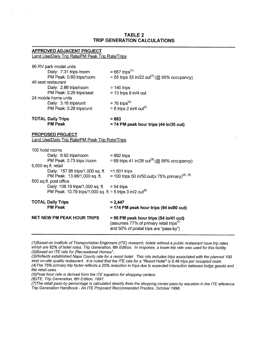## **TABLE 2 TRIP GENERATION CALCULATIONS**

### **APPROVED ADJACENT PROJECT**

Land Use/Daily Trip Rate/PM Peak Trip Rate/Trips

| = 55 trips 33 in/22 out <sup>(1)</sup> (@ 95% occupancy)                                      |
|-----------------------------------------------------------------------------------------------|
|                                                                                               |
|                                                                                               |
|                                                                                               |
|                                                                                               |
|                                                                                               |
|                                                                                               |
|                                                                                               |
|                                                                                               |
|                                                                                               |
| = 74 PM peak hour trips (44 in/30 out)                                                        |
|                                                                                               |
|                                                                                               |
|                                                                                               |
|                                                                                               |
| PM Peak: 0.73 trips /room = 69 trips 41 in/28 out <sup>(3)</sup> (@ 95% occupancy)            |
|                                                                                               |
|                                                                                               |
| PM Peak: 13.98/1,000 sq. ft. = 100 trips 50 in/50 out(x 75% primary) <sup>(4), (5)</sup>      |
|                                                                                               |
|                                                                                               |
|                                                                                               |
|                                                                                               |
| = 174 PM peak hour trips (94 in/80 out)                                                       |
| $= 95$ PM peak hour trips (54 in/41 out)                                                      |
| (assumes 77% of primary retail trips <sup>(7)</sup><br>and 50% of postal trips are "pass-by") |
|                                                                                               |

(1) Based on Institute of Transportation Engineers (ITE) research, hotels without a public restaurant have trip rates which are 82% of hotel rates, Trip Generation, 6th Edition. In response, a lower trip rate was used for this facility. (2) Based on ITE rate for (Recreational Homes".

(3) Reflects established Napa County rate for a resort hotel. This rate includes trips associated with the planned 100 seat on-site quality restaurant. It is noted that the ITE rate for a "Resort Hotel" is 0.49 trips per occupied room. (4) The 75% primary trip factor reflects a 25% reduction in trips due to expected interaction between lodge guests and the retail uses.

(5) Peak hour rate is derived form the ITE equation for shopping centers.

(6) ITE, Trip Generation, 6th Edition, 1997.

(7) The retail pass-by percentage is calculated directly from the shopping center pass-by equation in the ITE reference Trip Generation Handbook - An ITE Proposed Recommended Practice, October 1998.